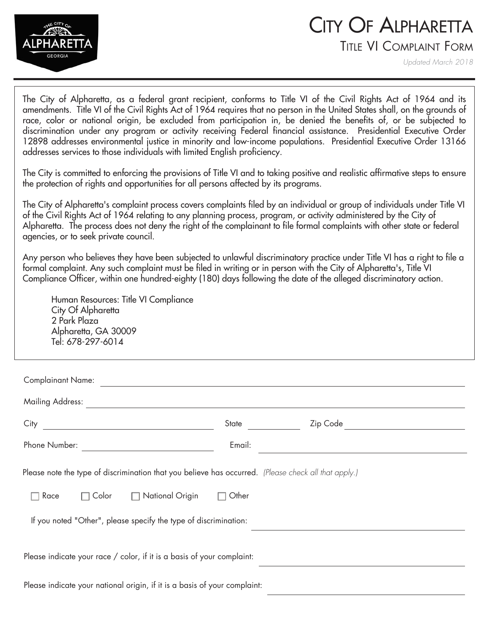

## CITY OF ALPHARETTA

TITLE VI COMPLAINT FORM

*Updated March 2018*

The City of Alpharetta, as a federal grant recipient, conforms to Title VI of the Civil Rights Act of 1964 and its amendments. Title VI of the Civil Rights Act of 1964 requires that no person in the United States shall, on the grounds of race, color or national origin, be excluded from participation in, be denied the benefits of, or be subjected to discrimination under any program or activity receiving Federal financial assistance. Presidential Executive Order 12898 addresses environmental justice in minority and low-income populations. Presidential Executive Order 13166 addresses services to those individuals with limited English proficiency.

The City is committed to enforcing the provisions of Title VI and to taking positive and realistic affirmative steps to ensure the protection of rights and opportunities for all persons affected by its programs.

The City of Alpharetta's complaint process covers complaints filed by an individual or group of individuals under Title VI of the Civil Rights Act of 1964 relating to any planning process, program, or activity administered by the City of Alpharetta. The process does not deny the right of the complainant to file formal complaints with other state or federal agencies, or to seek private council.

Any person who believes they have been subjected to unlawful discriminatory practice under Title VI has a right to file a formal complaint. Any such complaint must be filed in writing or in person with the City of Alpharetta's, Title VI Compliance Officer, within one hundred-eighty (180) days following the date of the alleged discriminatory action.

Human Resources: Title VI Compliance City Of Alpharetta 2 Park Plaza Alpharetta, GA 30009 Tel: 678-297-6014

| <b>Complainant Name:</b>                                                                             |        |       |  |  |
|------------------------------------------------------------------------------------------------------|--------|-------|--|--|
|                                                                                                      |        |       |  |  |
|                                                                                                      |        | State |  |  |
|                                                                                                      | Email: |       |  |  |
| Please note the type of discrimination that you believe has occurred. (Please check all that apply.) |        |       |  |  |
| $\Box$ Color $\Box$ National Origin $\Box$<br>Race                                                   | Other  |       |  |  |
| If you noted "Other", please specify the type of discrimination:                                     |        |       |  |  |
| Please indicate your race / color, if it is a basis of your complaint:                               |        |       |  |  |
| Please indicate your national origin, if it is a basis of your complaint:                            |        |       |  |  |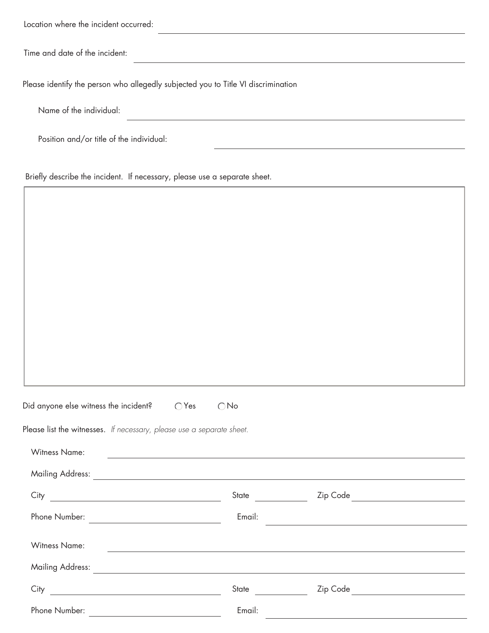| Location where the incident occurred:                                                                                                                                                                                                |               |                                                                                                                       |
|--------------------------------------------------------------------------------------------------------------------------------------------------------------------------------------------------------------------------------------|---------------|-----------------------------------------------------------------------------------------------------------------------|
| Time and date of the incident:                                                                                                                                                                                                       |               |                                                                                                                       |
| Please identify the person who allegedly subjected you to Title VI discrimination                                                                                                                                                    |               |                                                                                                                       |
| Name of the individual:                                                                                                                                                                                                              |               |                                                                                                                       |
| Position and/or title of the individual:                                                                                                                                                                                             |               |                                                                                                                       |
| Briefly describe the incident. If necessary, please use a separate sheet.                                                                                                                                                            |               |                                                                                                                       |
|                                                                                                                                                                                                                                      |               |                                                                                                                       |
|                                                                                                                                                                                                                                      |               |                                                                                                                       |
|                                                                                                                                                                                                                                      |               |                                                                                                                       |
|                                                                                                                                                                                                                                      |               |                                                                                                                       |
|                                                                                                                                                                                                                                      |               |                                                                                                                       |
|                                                                                                                                                                                                                                      |               |                                                                                                                       |
|                                                                                                                                                                                                                                      |               |                                                                                                                       |
|                                                                                                                                                                                                                                      |               |                                                                                                                       |
|                                                                                                                                                                                                                                      |               |                                                                                                                       |
|                                                                                                                                                                                                                                      |               |                                                                                                                       |
| Did anyone else witness the incident? $\bigcirc$ Yes                                                                                                                                                                                 | $\bigcirc$ No |                                                                                                                       |
| Please list the witnesses. If necessary, please use a separate sheet.                                                                                                                                                                |               |                                                                                                                       |
| <b>Witness Name:</b><br><u> 1989 - Johann John Stoff, deutscher Stoffen und der Stoffen und der Stoffen und der Stoffen und der Stoffen un</u>                                                                                       |               |                                                                                                                       |
| Mailing Address: <u>Andreas Address and Address and Address and Address and Address and Address and Address and Address and Address and Address and Address and Address and Address and Address and Address and Address and Addr</u> |               |                                                                                                                       |
|                                                                                                                                                                                                                                      |               |                                                                                                                       |
|                                                                                                                                                                                                                                      | Email:        | <u> 1989 - Johann Stoff, deutscher Stoff, der Stoff, der Stoff, der Stoff, der Stoff, der Stoff, der Stoff, der S</u> |
| <b>Witness Name:</b><br><u> 1980 - Johann Stoff, deutscher Stoff, der Stoff, der Stoff, der Stoff, der Stoff, der Stoff, der Stoff, der S</u>                                                                                        |               |                                                                                                                       |
| Mailing Address: <u>Andreas Address and Address and Address and Address and Address and Address and Address and Address and Address and Address and Address and Address and Address and Address and Address and Address and Addr</u> |               |                                                                                                                       |
|                                                                                                                                                                                                                                      | State         | Zip Code __________________________                                                                                   |
|                                                                                                                                                                                                                                      | Email:        |                                                                                                                       |